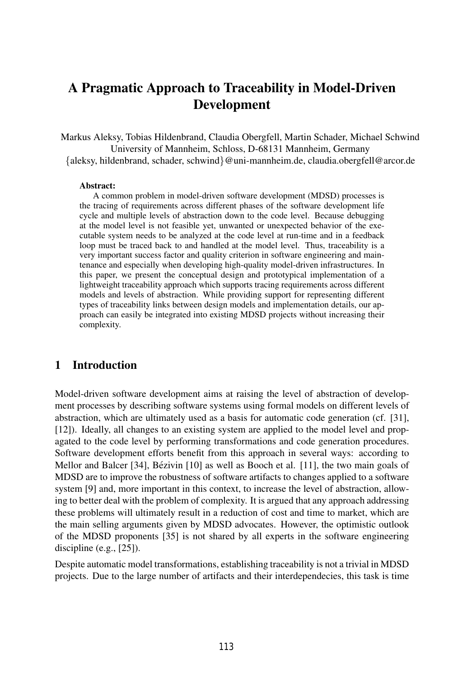# A Pragmatic Approach to Traceability in Model-Driven Development

Markus Aleksy, Tobias Hildenbrand, Claudia Obergfell, Martin Schader, Michael Schwind University of Mannheim, Schloss, D-68131 Mannheim, Germany {aleksy, hildenbrand, schader, schwind}@uni-mannheim.de, claudia.obergfell@arcor.de

#### Abstract:

A common problem in model-driven software development (MDSD) processes is the tracing of requirements across different phases of the software development life cycle and multiple levels of abstraction down to the code level. Because debugging at the model level is not feasible yet, unwanted or unexpected behavior of the executable system needs to be analyzed at the code level at run-time and in a feedback loop must be traced back to and handled at the model level. Thus, traceability is a very important success factor and quality criterion in software engineering and maintenance and especially when developing high-quality model-driven infrastructures. In this paper, we present the conceptual design and prototypical implementation of a lightweight traceability approach which supports tracing requirements across different models and levels of abstraction. While providing support for representing different types of traceability links between design models and implementation details, our approach can easily be integrated into existing MDSD projects without increasing their complexity.

### 1 Introduction

Model-driven software development aims at raising the level of abstraction of development processes by describing software systems using formal models on different levels of abstraction, which are ultimately used as a basis for automatic code generation (cf. [31], [12]). Ideally, all changes to an existing system are applied to the model level and propagated to the code level by performing transformations and code generation procedures. Software development efforts benefit from this approach in several ways: according to Mellor and Balcer  $[34]$ , Bézivin  $[10]$  as well as Booch et al.  $[11]$ , the two main goals of MDSD are to improve the robustness of software artifacts to changes applied to a software system [9] and, more important in this context, to increase the level of abstraction, allowing to better deal with the problem of complexity. It is argued that any approach addressing these problems will ultimately result in a reduction of cost and time to market, which are the main selling arguments given by MDSD advocates. However, the optimistic outlook of the MDSD proponents [35] is not shared by all experts in the software engineering discipline (e.g., [25]).

Despite automatic model transformations, establishing traceability is not a trivial in MDSD projects. Due to the large number of artifacts and their interdependecies, this task is time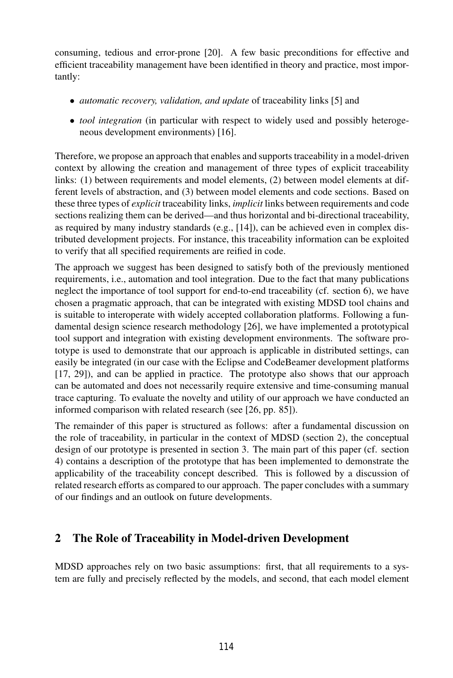consuming, tedious and error-prone [20]. A few basic preconditions for effective and efficient traceability management have been identified in theory and practice, most importantly:

- *automatic recovery, validation, and update* of traceability links [5] and
- *tool integration* (in particular with respect to widely used and possibly heterogeneous development environments) [16].

Therefore, we propose an approach that enables and supports traceability in a model-driven context by allowing the creation and management of three types of explicit traceability links: (1) between requirements and model elements, (2) between model elements at different levels of abstraction, and (3) between model elements and code sections. Based on these three types of *explicit* traceability links, *implicit* links between requirements and code sections realizing them can be derived—and thus horizontal and bi-directional traceability, as required by many industry standards (e.g., [14]), can be achieved even in complex distributed development projects. For instance, this traceability information can be exploited to verify that all specified requirements are reified in code.

The approach we suggest has been designed to satisfy both of the previously mentioned requirements, i.e., automation and tool integration. Due to the fact that many publications neglect the importance of tool support for end-to-end traceability (cf. section 6), we have chosen a pragmatic approach, that can be integrated with existing MDSD tool chains and is suitable to interoperate with widely accepted collaboration platforms. Following a fundamental design science research methodology [26], we have implemented a prototypical tool support and integration with existing development environments. The software prototype is used to demonstrate that our approach is applicable in distributed settings, can easily be integrated (in our case with the Eclipse and CodeBeamer development platforms [17, 29]), and can be applied in practice. The prototype also shows that our approach can be automated and does not necessarily require extensive and time-consuming manual trace capturing. To evaluate the novelty and utility of our approach we have conducted an informed comparison with related research (see [26, pp. 85]).

The remainder of this paper is structured as follows: after a fundamental discussion on the role of traceability, in particular in the context of MDSD (section 2), the conceptual design of our prototype is presented in section 3. The main part of this paper (cf. section 4) contains a description of the prototype that has been implemented to demonstrate the applicability of the traceability concept described. This is followed by a discussion of related research efforts as compared to our approach. The paper concludes with a summary of our findings and an outlook on future developments.

### 2 The Role of Traceability in Model-driven Development

MDSD approaches rely on two basic assumptions: first, that all requirements to a system are fully and precisely reflected by the models, and second, that each model element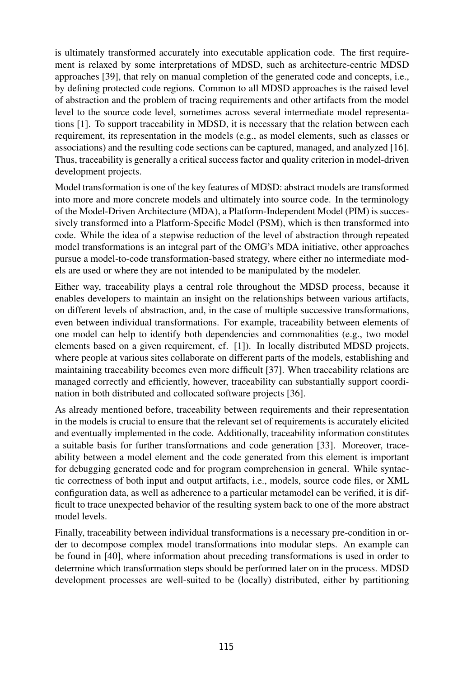is ultimately transformed accurately into executable application code. The first requirement is relaxed by some interpretations of MDSD, such as architecture-centric MDSD approaches [39], that rely on manual completion of the generated code and concepts, i.e., by defining protected code regions. Common to all MDSD approaches is the raised level of abstraction and the problem of tracing requirements and other artifacts from the model level to the source code level, sometimes across several intermediate model representations [1]. To support traceability in MDSD, it is necessary that the relation between each requirement, its representation in the models (e.g., as model elements, such as classes or associations) and the resulting code sections can be captured, managed, and analyzed [16]. Thus, traceability is generally a critical success factor and quality criterion in model-driven development projects.

Model transformation is one of the key features of MDSD: abstract models are transformed into more and more concrete models and ultimately into source code. In the terminology of the Model-Driven Architecture (MDA), a Platform-Independent Model (PIM) is successively transformed into a Platform-Specific Model (PSM), which is then transformed into code. While the idea of a stepwise reduction of the level of abstraction through repeated model transformations is an integral part of the OMG's MDA initiative, other approaches pursue a model-to-code transformation-based strategy, where either no intermediate models are used or where they are not intended to be manipulated by the modeler.

Either way, traceability plays a central role throughout the MDSD process, because it enables developers to maintain an insight on the relationships between various artifacts, on different levels of abstraction, and, in the case of multiple successive transformations, even between individual transformations. For example, traceability between elements of one model can help to identify both dependencies and commonalities (e.g., two model elements based on a given requirement, cf. [1]). In locally distributed MDSD projects, where people at various sites collaborate on different parts of the models, establishing and maintaining traceability becomes even more difficult [37]. When traceability relations are managed correctly and efficiently, however, traceability can substantially support coordination in both distributed and collocated software projects [36].

As already mentioned before, traceability between requirements and their representation in the models is crucial to ensure that the relevant set of requirements is accurately elicited and eventually implemented in the code. Additionally, traceability information constitutes a suitable basis for further transformations and code generation [33]. Moreover, traceability between a model element and the code generated from this element is important for debugging generated code and for program comprehension in general. While syntactic correctness of both input and output artifacts, i.e., models, source code files, or XML configuration data, as well as adherence to a particular metamodel can be verified, it is difficult to trace unexpected behavior of the resulting system back to one of the more abstract model levels.

Finally, traceability between individual transformations is a necessary pre-condition in order to decompose complex model transformations into modular steps. An example can be found in [40], where information about preceding transformations is used in order to determine which transformation steps should be performed later on in the process. MDSD development processes are well-suited to be (locally) distributed, either by partitioning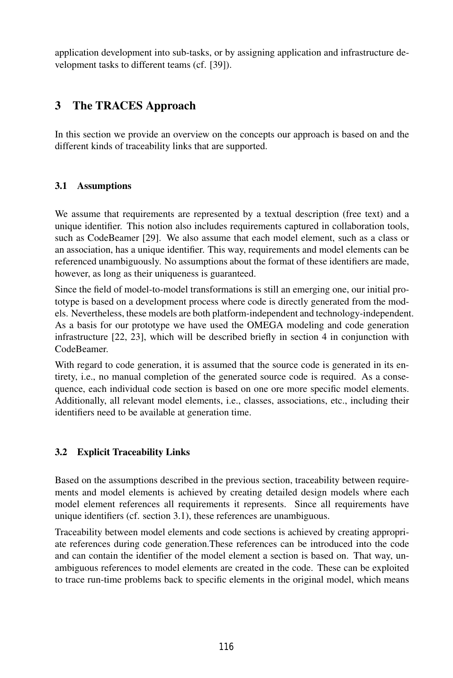application development into sub-tasks, or by assigning application and infrastructure development tasks to different teams (cf. [39]).

## 3 The TRACES Approach

In this section we provide an overview on the concepts our approach is based on and the different kinds of traceability links that are supported.

#### 3.1 Assumptions

We assume that requirements are represented by a textual description (free text) and a unique identifier. This notion also includes requirements captured in collaboration tools, such as CodeBeamer [29]. We also assume that each model element, such as a class or an association, has a unique identifier. This way, requirements and model elements can be referenced unambiguously. No assumptions about the format of these identifiers are made, however, as long as their uniqueness is guaranteed.

Since the field of model-to-model transformations is still an emerging one, our initial prototype is based on a development process where code is directly generated from the models. Nevertheless, these models are both platform-independent and technology-independent. As a basis for our prototype we have used the OMEGA modeling and code generation infrastructure [22, 23], which will be described briefly in section 4 in conjunction with CodeBeamer.

With regard to code generation, it is assumed that the source code is generated in its entirety, i.e., no manual completion of the generated source code is required. As a consequence, each individual code section is based on one ore more specific model elements. Additionally, all relevant model elements, i.e., classes, associations, etc., including their identifiers need to be available at generation time.

### 3.2 Explicit Traceability Links

Based on the assumptions described in the previous section, traceability between requirements and model elements is achieved by creating detailed design models where each model element references all requirements it represents. Since all requirements have unique identifiers (cf. section 3.1), these references are unambiguous.

Traceability between model elements and code sections is achieved by creating appropriate references during code generation.These references can be introduced into the code and can contain the identifier of the model element a section is based on. That way, unambiguous references to model elements are created in the code. These can be exploited to trace run-time problems back to specific elements in the original model, which means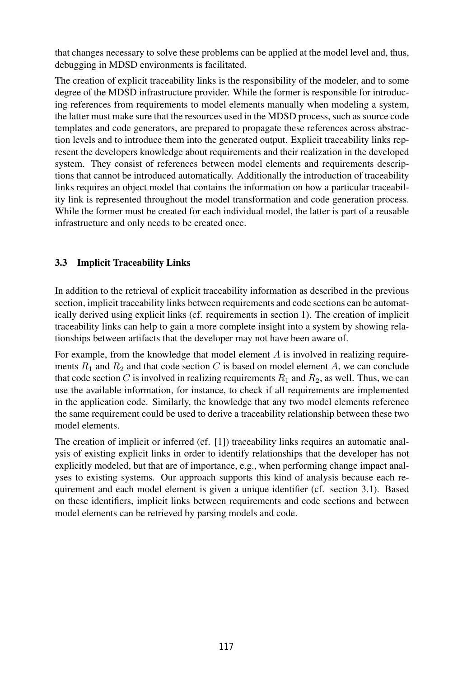that changes necessary to solve these problems can be applied at the model level and, thus, debugging in MDSD environments is facilitated.

The creation of explicit traceability links is the responsibility of the modeler, and to some degree of the MDSD infrastructure provider. While the former is responsible for introducing references from requirements to model elements manually when modeling a system, the latter must make sure that the resources used in the MDSD process, such as source code templates and code generators, are prepared to propagate these references across abstraction levels and to introduce them into the generated output. Explicit traceability links represent the developers knowledge about requirements and their realization in the developed system. They consist of references between model elements and requirements descriptions that cannot be introduced automatically. Additionally the introduction of traceability links requires an object model that contains the information on how a particular traceability link is represented throughout the model transformation and code generation process. While the former must be created for each individual model, the latter is part of a reusable infrastructure and only needs to be created once.

### 3.3 Implicit Traceability Links

In addition to the retrieval of explicit traceability information as described in the previous section, implicit traceability links between requirements and code sections can be automatically derived using explicit links (cf. requirements in section 1). The creation of implicit traceability links can help to gain a more complete insight into a system by showing relationships between artifacts that the developer may not have been aware of.

For example, from the knowledge that model element  $A$  is involved in realizing requirements  $R_1$  and  $R_2$  and that code section C is based on model element A, we can conclude that code section C is involved in realizing requirements  $R_1$  and  $R_2$ , as well. Thus, we can use the available information, for instance, to check if all requirements are implemented in the application code. Similarly, the knowledge that any two model elements reference the same requirement could be used to derive a traceability relationship between these two model elements.

The creation of implicit or inferred (cf. [1]) traceability links requires an automatic analysis of existing explicit links in order to identify relationships that the developer has not explicitly modeled, but that are of importance, e.g., when performing change impact analyses to existing systems. Our approach supports this kind of analysis because each requirement and each model element is given a unique identifier (cf. section 3.1). Based on these identifiers, implicit links between requirements and code sections and between model elements can be retrieved by parsing models and code.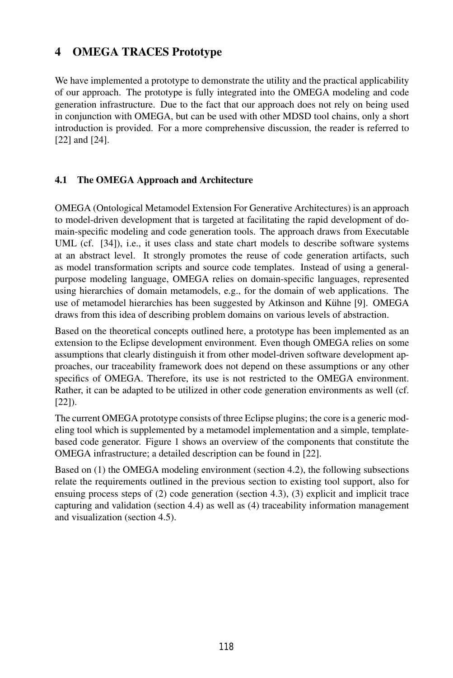## 4 OMEGA TRACES Prototype

We have implemented a prototype to demonstrate the utility and the practical applicability of our approach. The prototype is fully integrated into the OMEGA modeling and code generation infrastructure. Due to the fact that our approach does not rely on being used in conjunction with OMEGA, but can be used with other MDSD tool chains, only a short introduction is provided. For a more comprehensive discussion, the reader is referred to [22] and [24].

### 4.1 The OMEGA Approach and Architecture

OMEGA (Ontological Metamodel Extension For Generative Architectures) is an approach to model-driven development that is targeted at facilitating the rapid development of domain-specific modeling and code generation tools. The approach draws from Executable UML (cf. [34]), i.e., it uses class and state chart models to describe software systems at an abstract level. It strongly promotes the reuse of code generation artifacts, such as model transformation scripts and source code templates. Instead of using a generalpurpose modeling language, OMEGA relies on domain-specific languages, represented using hierarchies of domain metamodels, e.g., for the domain of web applications. The use of metamodel hierarchies has been suggested by Atkinson and Kühne [9]. OMEGA draws from this idea of describing problem domains on various levels of abstraction.

Based on the theoretical concepts outlined here, a prototype has been implemented as an extension to the Eclipse development environment. Even though OMEGA relies on some assumptions that clearly distinguish it from other model-driven software development approaches, our traceability framework does not depend on these assumptions or any other specifics of OMEGA. Therefore, its use is not restricted to the OMEGA environment. Rather, it can be adapted to be utilized in other code generation environments as well (cf. [22]).

The current OMEGA prototype consists of three Eclipse plugins; the core is a generic modeling tool which is supplemented by a metamodel implementation and a simple, templatebased code generator. Figure 1 shows an overview of the components that constitute the OMEGA infrastructure; a detailed description can be found in [22].

Based on (1) the OMEGA modeling environment (section 4.2), the following subsections relate the requirements outlined in the previous section to existing tool support, also for ensuing process steps of (2) code generation (section 4.3), (3) explicit and implicit trace capturing and validation (section 4.4) as well as (4) traceability information management and visualization (section 4.5).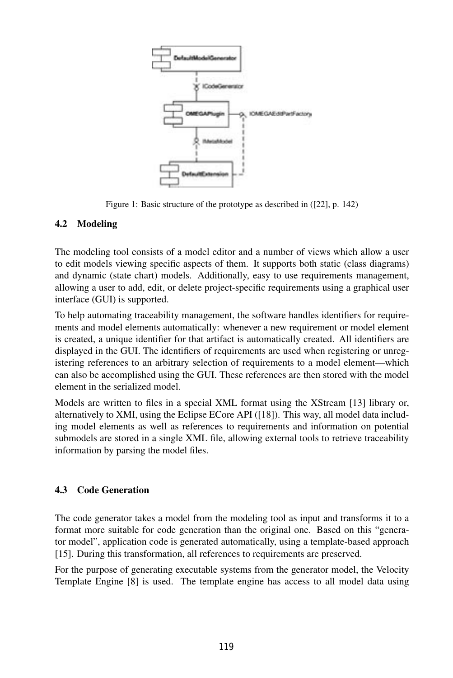

Figure 1: Basic structure of the prototype as described in ([22], p. 142)

### 4.2 Modeling

The modeling tool consists of a model editor and a number of views which allow a user to edit models viewing specific aspects of them. It supports both static (class diagrams) and dynamic (state chart) models. Additionally, easy to use requirements management, allowing a user to add, edit, or delete project-specific requirements using a graphical user interface (GUI) is supported.

To help automating traceability management, the software handles identifiers for requirements and model elements automatically: whenever a new requirement or model element is created, a unique identifier for that artifact is automatically created. All identifiers are displayed in the GUI. The identifiers of requirements are used when registering or unregistering references to an arbitrary selection of requirements to a model element—which can also be accomplished using the GUI. These references are then stored with the model element in the serialized model.

Models are written to files in a special XML format using the XStream [13] library or, alternatively to XMI, using the Eclipse ECore API ([18]). This way, all model data including model elements as well as references to requirements and information on potential submodels are stored in a single XML file, allowing external tools to retrieve traceability information by parsing the model files.

### 4.3 Code Generation

The code generator takes a model from the modeling tool as input and transforms it to a format more suitable for code generation than the original one. Based on this "generator model", application code is generated automatically, using a template-based approach [15]. During this transformation, all references to requirements are preserved.

For the purpose of generating executable systems from the generator model, the Velocity Template Engine [8] is used. The template engine has access to all model data using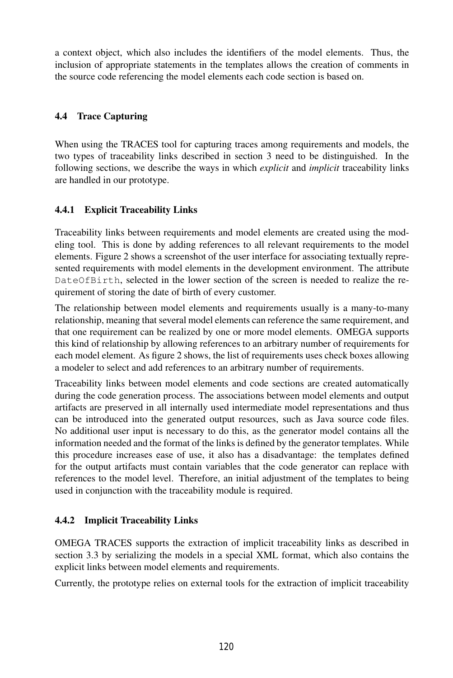a context object, which also includes the identifiers of the model elements. Thus, the inclusion of appropriate statements in the templates allows the creation of comments in the source code referencing the model elements each code section is based on.

### 4.4 Trace Capturing

When using the TRACES tool for capturing traces among requirements and models, the two types of traceability links described in section 3 need to be distinguished. In the following sections, we describe the ways in which *explicit* and *implicit* traceability links are handled in our prototype.

### 4.4.1 Explicit Traceability Links

Traceability links between requirements and model elements are created using the modeling tool. This is done by adding references to all relevant requirements to the model elements. Figure 2 shows a screenshot of the user interface for associating textually represented requirements with model elements in the development environment. The attribute DateOfBirth, selected in the lower section of the screen is needed to realize the requirement of storing the date of birth of every customer.

The relationship between model elements and requirements usually is a many-to-many relationship, meaning that several model elements can reference the same requirement, and that one requirement can be realized by one or more model elements. OMEGA supports this kind of relationship by allowing references to an arbitrary number of requirements for each model element. As figure 2 shows, the list of requirements uses check boxes allowing a modeler to select and add references to an arbitrary number of requirements.

Traceability links between model elements and code sections are created automatically during the code generation process. The associations between model elements and output artifacts are preserved in all internally used intermediate model representations and thus can be introduced into the generated output resources, such as Java source code files. No additional user input is necessary to do this, as the generator model contains all the information needed and the format of the links is defined by the generator templates. While this procedure increases ease of use, it also has a disadvantage: the templates defined for the output artifacts must contain variables that the code generator can replace with references to the model level. Therefore, an initial adjustment of the templates to being used in conjunction with the traceability module is required.

### 4.4.2 Implicit Traceability Links

OMEGA TRACES supports the extraction of implicit traceability links as described in section 3.3 by serializing the models in a special XML format, which also contains the explicit links between model elements and requirements.

Currently, the prototype relies on external tools for the extraction of implicit traceability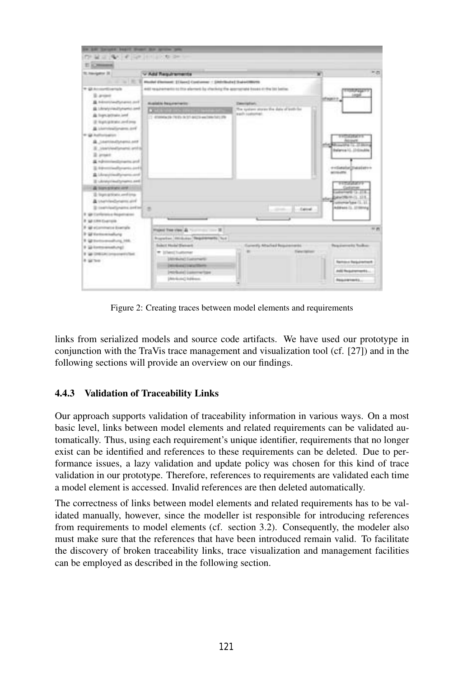| lin bill barges basid front for grow pre-                                                                                                                                                                                                                                                                                                                                           |                                                                                                                                                                                                                                                            |                                                                                                                  |                                                                                                                                                                                                                          |
|-------------------------------------------------------------------------------------------------------------------------------------------------------------------------------------------------------------------------------------------------------------------------------------------------------------------------------------------------------------------------------------|------------------------------------------------------------------------------------------------------------------------------------------------------------------------------------------------------------------------------------------------------------|------------------------------------------------------------------------------------------------------------------|--------------------------------------------------------------------------------------------------------------------------------------------------------------------------------------------------------------------------|
| THE RESIDENCE OF THE RESIDENCE.                                                                                                                                                                                                                                                                                                                                                     |                                                                                                                                                                                                                                                            |                                                                                                                  |                                                                                                                                                                                                                          |
| <b>ELECTRICAL</b>                                                                                                                                                                                                                                                                                                                                                                   |                                                                                                                                                                                                                                                            |                                                                                                                  |                                                                                                                                                                                                                          |
| TO Franklin For SE                                                                                                                                                                                                                                                                                                                                                                  | v Add Regularments                                                                                                                                                                                                                                         |                                                                                                                  | 市面<br>w                                                                                                                                                                                                                  |
|                                                                                                                                                                                                                                                                                                                                                                                     | 11. 12. 12. 12. Market Element: El Sanc) Contamner : Elektrikulte   Suis-UNIVER                                                                                                                                                                            |                                                                                                                  |                                                                                                                                                                                                                          |
| The Automobile artists<br>3 area<br><b>B</b> . Informational Systems and<br><b>B</b> Interprised promotional<br>A logn actuals and<br>(2) Night (platnetic caref) prog-<br>A introductions and<br><b>W. Authorization</b><br>B Seattlestoners and<br>It: continutament and all<br>2 around<br>A highermolecularisation and<br>3. Advertising European Law El<br>& Livestowity would | AND requirements to this element by checking the approximate boxes of the lot believ.<br><b>Musicable Requirements</b><br>(1) 40 percent plus (149 plus declar) designée www.france.charg.pdfs                                                             | Description:<br>The system stores the date of poll- bo-<br>a soft controller.                                    | <b>ICROSS</b><br><b>TYTESTATE</b><br><b>Account</b><br>countries (1)  (2) Mor<br><b>Ballerine 11. 12 Ginubia</b><br>extanziviti autor-<br><b>MISSION</b>                                                                 |
| II shratprinally ramo and<br>& Nonsexuez and<br>2 Sign artists and ima-<br><b>B</b> Unattriedbetarm and<br>Il institutionis artistical<br>If you conference respectations<br>@ SA CRA Exercise<br># ail econometro dolerade<br>It for the marketing<br>8 GE Systemsmashurg, 166.<br>9 Wilmmenshung!<br>9 W DRESK Engineers for<br>8 games                                           | Plazard Tree view 22 Tours<br>the party former 22<br>Royalton Hilduko Registeranti Tud<br>Salest Hole Servert<br>W. USent Tradicted<br><b>University of Euchamentic</b><br><b><i>CASTAGUAY COMMITMENT</i></b><br>Instrumed Lammerham<br>(Aleksin) lightest | $-1$ difficult<br><b>CONTRACTOR</b><br>Connectic Attached Beautometer<br><b>STATISTICS</b><br><b>Date of the</b> | ママサンジスンクソマ<br>Annanci La Little<br>stephenown (1.11)<br>weers has (L.).<br>Address (L. 270014g)<br>$10 - 27$<br><b>Provincials</b> Todio<br><b>Rental of Religionships &amp;</b><br>AND Regulatorizations<br>Reasonness. |

Figure 2: Creating traces between model elements and requirements

links from serialized models and source code artifacts. We have used our prototype in conjunction with the TraVis trace management and visualization tool (cf. [27]) and in the following sections will provide an overview on our findings.

### 4.4.3 Validation of Traceability Links

Our approach supports validation of traceability information in various ways. On a most basic level, links between model elements and related requirements can be validated automatically. Thus, using each requirement's unique identifier, requirements that no longer exist can be identified and references to these requirements can be deleted. Due to performance issues, a lazy validation and update policy was chosen for this kind of trace validation in our prototype. Therefore, references to requirements are validated each time a model element is accessed. Invalid references are then deleted automatically.

The correctness of links between model elements and related requirements has to be validated manually, however, since the modeller ist responsible for introducing references from requirements to model elements (cf. section 3.2). Consequently, the modeler also must make sure that the references that have been introduced remain valid. To facilitate the discovery of broken traceability links, trace visualization and management facilities can be employed as described in the following section.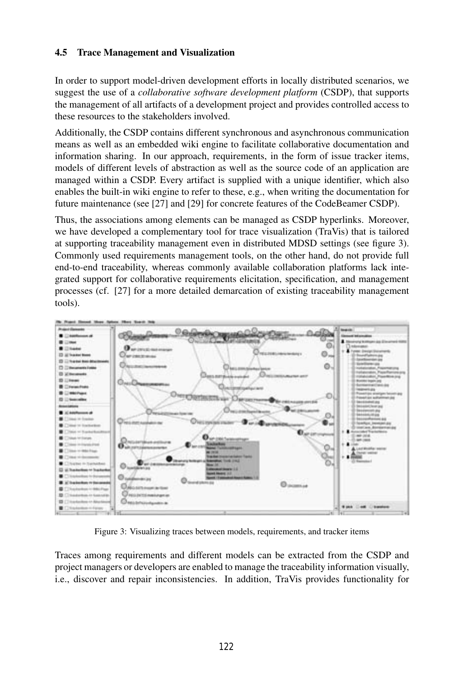#### 4.5 Trace Management and Visualization

In order to support model-driven development efforts in locally distributed scenarios, we suggest the use of a *collaborative software development platform* (CSDP), that supports the management of all artifacts of a development project and provides controlled access to these resources to the stakeholders involved.

Additionally, the CSDP contains different synchronous and asynchronous communication means as well as an embedded wiki engine to facilitate collaborative documentation and information sharing. In our approach, requirements, in the form of issue tracker items, models of different levels of abstraction as well as the source code of an application are managed within a CSDP. Every artifact is supplied with a unique identifier, which also enables the built-in wiki engine to refer to these, e.g., when writing the documentation for future maintenance (see [27] and [29] for concrete features of the CodeBeamer CSDP).

Thus, the associations among elements can be managed as CSDP hyperlinks. Moreover, we have developed a complementary tool for trace visualization (TraVis) that is tailored at supporting traceability management even in distributed MDSD settings (see figure 3). Commonly used requirements management tools, on the other hand, do not provide full end-to-end traceability, whereas commonly available collaboration platforms lack integrated support for collaborative requirements elicitation, specification, and management processes (cf. [27] for a more detailed demarcation of existing traceability management tools).



Figure 3: Visualizing traces between models, requirements, and tracker items

Traces among requirements and different models can be extracted from the CSDP and project managers or developers are enabled to manage the traceability information visually, i.e., discover and repair inconsistencies. In addition, TraVis provides functionality for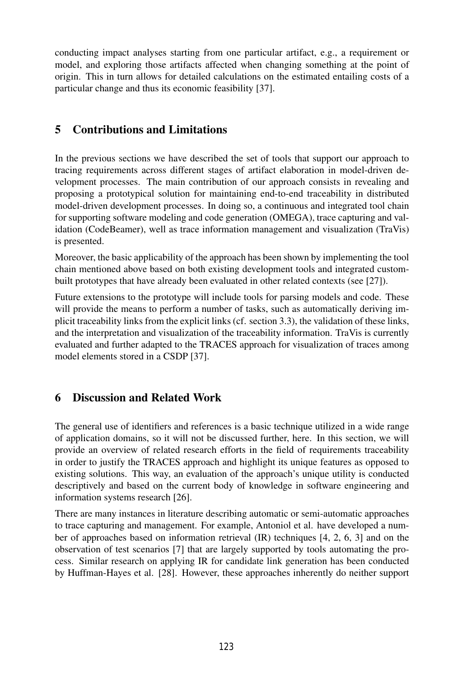conducting impact analyses starting from one particular artifact, e.g., a requirement or model, and exploring those artifacts affected when changing something at the point of origin. This in turn allows for detailed calculations on the estimated entailing costs of a particular change and thus its economic feasibility [37].

### 5 Contributions and Limitations

In the previous sections we have described the set of tools that support our approach to tracing requirements across different stages of artifact elaboration in model-driven development processes. The main contribution of our approach consists in revealing and proposing a prototypical solution for maintaining end-to-end traceability in distributed model-driven development processes. In doing so, a continuous and integrated tool chain for supporting software modeling and code generation (OMEGA), trace capturing and validation (CodeBeamer), well as trace information management and visualization (TraVis) is presented.

Moreover, the basic applicability of the approach has been shown by implementing the tool chain mentioned above based on both existing development tools and integrated custombuilt prototypes that have already been evaluated in other related contexts (see [27]).

Future extensions to the prototype will include tools for parsing models and code. These will provide the means to perform a number of tasks, such as automatically deriving implicit traceability links from the explicit links (cf. section 3.3), the validation of these links, and the interpretation and visualization of the traceability information. TraVis is currently evaluated and further adapted to the TRACES approach for visualization of traces among model elements stored in a CSDP [37].

### 6 Discussion and Related Work

The general use of identifiers and references is a basic technique utilized in a wide range of application domains, so it will not be discussed further, here. In this section, we will provide an overview of related research efforts in the field of requirements traceability in order to justify the TRACES approach and highlight its unique features as opposed to existing solutions. This way, an evaluation of the approach's unique utility is conducted descriptively and based on the current body of knowledge in software engineering and information systems research [26].

There are many instances in literature describing automatic or semi-automatic approaches to trace capturing and management. For example, Antoniol et al. have developed a number of approaches based on information retrieval (IR) techniques [4, 2, 6, 3] and on the observation of test scenarios [7] that are largely supported by tools automating the process. Similar research on applying IR for candidate link generation has been conducted by Huffman-Hayes et al. [28]. However, these approaches inherently do neither support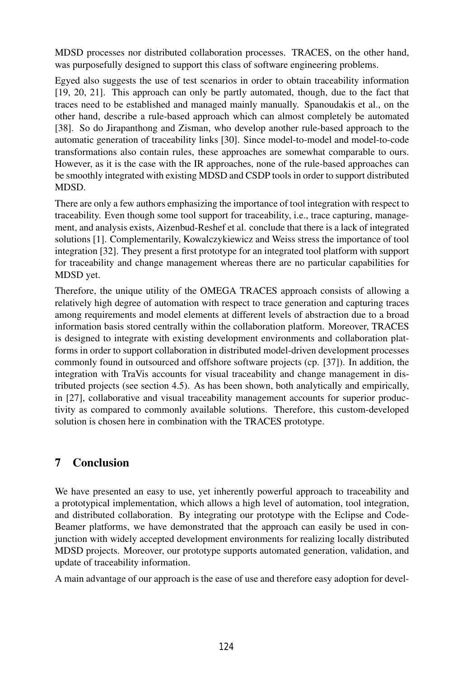MDSD processes nor distributed collaboration processes. TRACES, on the other hand, was purposefully designed to support this class of software engineering problems.

Egyed also suggests the use of test scenarios in order to obtain traceability information [19, 20, 21]. This approach can only be partly automated, though, due to the fact that traces need to be established and managed mainly manually. Spanoudakis et al., on the other hand, describe a rule-based approach which can almost completely be automated [38]. So do Jirapanthong and Zisman, who develop another rule-based approach to the automatic generation of traceability links [30]. Since model-to-model and model-to-code transformations also contain rules, these approaches are somewhat comparable to ours. However, as it is the case with the IR approaches, none of the rule-based approaches can be smoothly integrated with existing MDSD and CSDP tools in order to support distributed MDSD.

There are only a few authors emphasizing the importance of tool integration with respect to traceability. Even though some tool support for traceability, i.e., trace capturing, management, and analysis exists, Aizenbud-Reshef et al. conclude that there is a lack of integrated solutions [1]. Complementarily, Kowalczykiewicz and Weiss stress the importance of tool integration [32]. They present a first prototype for an integrated tool platform with support for traceability and change management whereas there are no particular capabilities for MDSD yet.

Therefore, the unique utility of the OMEGA TRACES approach consists of allowing a relatively high degree of automation with respect to trace generation and capturing traces among requirements and model elements at different levels of abstraction due to a broad information basis stored centrally within the collaboration platform. Moreover, TRACES is designed to integrate with existing development environments and collaboration platforms in order to support collaboration in distributed model-driven development processes commonly found in outsourced and offshore software projects (cp. [37]). In addition, the integration with TraVis accounts for visual traceability and change management in distributed projects (see section 4.5). As has been shown, both analytically and empirically, in [27], collaborative and visual traceability management accounts for superior productivity as compared to commonly available solutions. Therefore, this custom-developed solution is chosen here in combination with the TRACES prototype.

### 7 Conclusion

We have presented an easy to use, yet inherently powerful approach to traceability and a prototypical implementation, which allows a high level of automation, tool integration, and distributed collaboration. By integrating our prototype with the Eclipse and Code-Beamer platforms, we have demonstrated that the approach can easily be used in conjunction with widely accepted development environments for realizing locally distributed MDSD projects. Moreover, our prototype supports automated generation, validation, and update of traceability information.

A main advantage of our approach is the ease of use and therefore easy adoption for devel-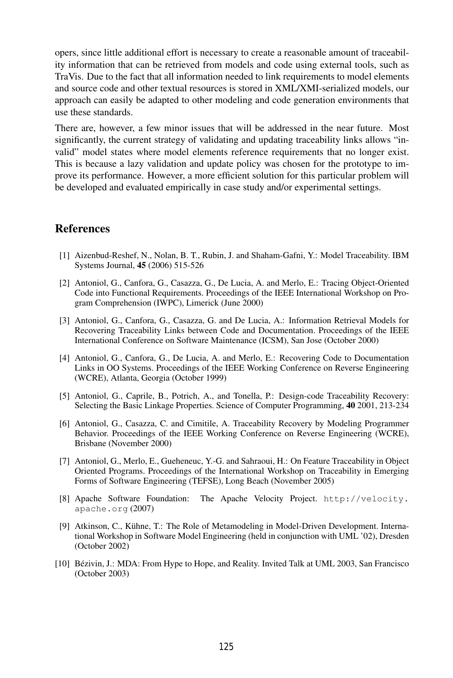opers, since little additional effort is necessary to create a reasonable amount of traceability information that can be retrieved from models and code using external tools, such as TraVis. Due to the fact that all information needed to link requirements to model elements and source code and other textual resources is stored in XML/XMI-serialized models, our approach can easily be adapted to other modeling and code generation environments that use these standards.

There are, however, a few minor issues that will be addressed in the near future. Most significantly, the current strategy of validating and updating traceability links allows "invalid" model states where model elements reference requirements that no longer exist. This is because a lazy validation and update policy was chosen for the prototype to improve its performance. However, a more efficient solution for this particular problem will be developed and evaluated empirically in case study and/or experimental settings.

### **References**

- [1] Aizenbud-Reshef, N., Nolan, B. T., Rubin, J. and Shaham-Gafni, Y.: Model Traceability. IBM Systems Journal, 45 (2006) 515-526
- [2] Antoniol, G., Canfora, G., Casazza, G., De Lucia, A. and Merlo, E.: Tracing Object-Oriented Code into Functional Requirements. Proceedings of the IEEE International Workshop on Program Comprehension (IWPC), Limerick (June 2000)
- [3] Antoniol, G., Canfora, G., Casazza, G. and De Lucia, A.: Information Retrieval Models for Recovering Traceability Links between Code and Documentation. Proceedings of the IEEE International Conference on Software Maintenance (ICSM), San Jose (October 2000)
- [4] Antoniol, G., Canfora, G., De Lucia, A. and Merlo, E.: Recovering Code to Documentation Links in OO Systems. Proceedings of the IEEE Working Conference on Reverse Engineering (WCRE), Atlanta, Georgia (October 1999)
- [5] Antoniol, G., Caprile, B., Potrich, A., and Tonella, P.: Design-code Traceability Recovery: Selecting the Basic Linkage Properties. Science of Computer Programming, 40 2001, 213-234
- [6] Antoniol, G., Casazza, C. and Cimitile, A. Traceability Recovery by Modeling Programmer Behavior. Proceedings of the IEEE Working Conference on Reverse Engineering (WCRE), Brisbane (November 2000)
- [7] Antoniol, G., Merlo, E., Gueheneuc, Y.-G. and Sahraoui, H.: On Feature Traceability in Object Oriented Programs. Proceedings of the International Workshop on Traceability in Emerging Forms of Software Engineering (TEFSE), Long Beach (November 2005)
- [8] Apache Software Foundation: The Apache Velocity Project. http://velocity. apache.org (2007)
- [9] Atkinson, C., Kühne, T.: The Role of Metamodeling in Model-Driven Development. International Workshop in Software Model Engineering (held in conjunction with UML '02), Dresden (October 2002)
- [10] Bézivin, J.: MDA: From Hype to Hope, and Reality. Invited Talk at UML 2003, San Francisco (October 2003)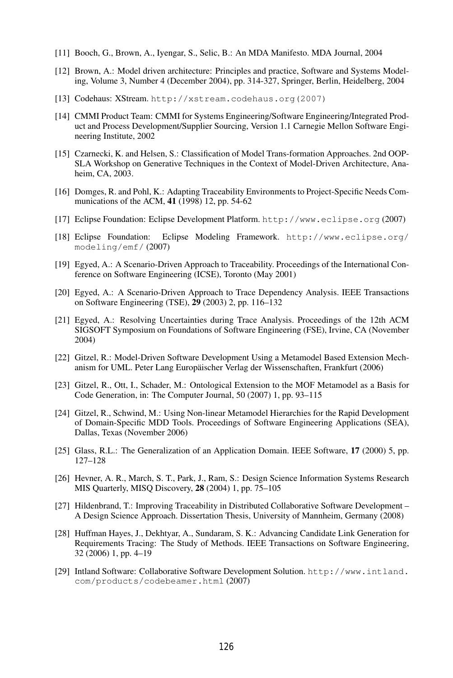- [11] Booch, G., Brown, A., Iyengar, S., Selic, B.: An MDA Manifesto. MDA Journal, 2004
- [12] Brown, A.: Model driven architecture: Principles and practice, Software and Systems Modeling, Volume 3, Number 4 (December 2004), pp. 314-327, Springer, Berlin, Heidelberg, 2004
- [13] Codehaus: XStream. http://xstream.codehaus.org(2007)
- [14] CMMI Product Team: CMMI for Systems Engineering/Software Engineering/Integrated Product and Process Development/Supplier Sourcing, Version 1.1 Carnegie Mellon Software Engineering Institute, 2002
- [15] Czarnecki, K. and Helsen, S.: Classification of Model Trans-formation Approaches. 2nd OOP-SLA Workshop on Generative Techniques in the Context of Model-Driven Architecture, Anaheim, CA, 2003.
- [16] Domges, R. and Pohl, K.: Adapting Traceability Environments to Project-Specific Needs Communications of the ACM, 41 (1998) 12, pp. 54-62
- [17] Eclipse Foundation: Eclipse Development Platform. http://www.eclipse.org (2007)
- [18] Eclipse Foundation: Eclipse Modeling Framework. http://www.eclipse.org/ modeling/emf/ (2007)
- [19] Egyed, A.: A Scenario-Driven Approach to Traceability. Proceedings of the International Conference on Software Engineering (ICSE), Toronto (May 2001)
- [20] Egyed, A.: A Scenario-Driven Approach to Trace Dependency Analysis. IEEE Transactions on Software Engineering (TSE), 29 (2003) 2, pp. 116–132
- [21] Egyed, A.: Resolving Uncertainties during Trace Analysis. Proceedings of the 12th ACM SIGSOFT Symposium on Foundations of Software Engineering (FSE), Irvine, CA (November 2004)
- [22] Gitzel, R.: Model-Driven Software Development Using a Metamodel Based Extension Mechanism for UML. Peter Lang Europäischer Verlag der Wissenschaften, Frankfurt (2006)
- [23] Gitzel, R., Ott, I., Schader, M.: Ontological Extension to the MOF Metamodel as a Basis for Code Generation, in: The Computer Journal, 50 (2007) 1, pp. 93–115
- [24] Gitzel, R., Schwind, M.: Using Non-linear Metamodel Hierarchies for the Rapid Development of Domain-Specific MDD Tools. Proceedings of Software Engineering Applications (SEA), Dallas, Texas (November 2006)
- [25] Glass, R.L.: The Generalization of an Application Domain. IEEE Software, 17 (2000) 5, pp. 127–128
- [26] Hevner, A. R., March, S. T., Park, J., Ram, S.: Design Science Information Systems Research MIS Quarterly, MISQ Discovery, 28 (2004) 1, pp. 75–105
- [27] Hildenbrand, T.: Improving Traceability in Distributed Collaborative Software Development A Design Science Approach. Dissertation Thesis, University of Mannheim, Germany (2008)
- [28] Huffman Hayes, J., Dekhtyar, A., Sundaram, S. K.: Advancing Candidate Link Generation for Requirements Tracing: The Study of Methods. IEEE Transactions on Software Engineering, 32 (2006) 1, pp. 4–19
- [29] Intland Software: Collaborative Software Development Solution. http://www.intland. com/products/codebeamer.html (2007)